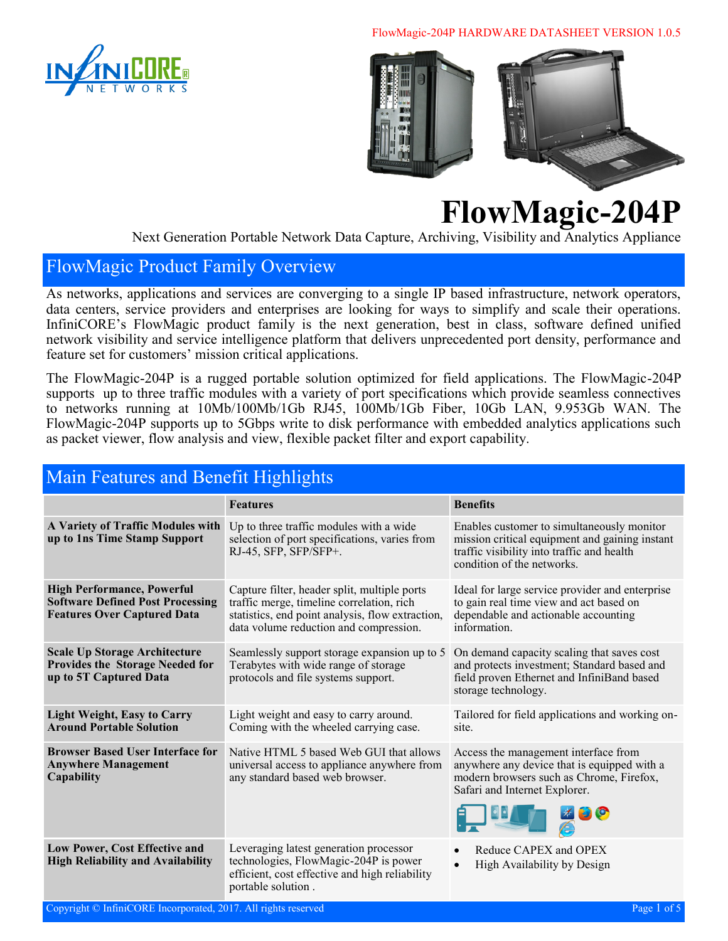

FlowMagic-204P HARDWARE DATASHEET VERSION 1.0.5



**FlowMagic-204P**

Next Generation Portable Network Data Capture, Archiving, Visibility and Analytics Appliance

#### FlowMagic Product Family Overview

As networks, applications and services are converging to a single IP based infrastructure, network operators, data centers, service providers and enterprises are looking for ways to simplify and scale their operations. InfiniCORE's FlowMagic product family is the next generation, best in class, software defined unified network visibility and service intelligence platform that delivers unprecedented port density, performance and feature set for customers' mission critical applications.

The FlowMagic-204P is a rugged portable solution optimized for field applications. The FlowMagic-204P supports up to three traffic modules with a variety of port specifications which provide seamless connectives to networks running at 10Mb/100Mb/1Gb RJ45, 100Mb/1Gb Fiber, 10Gb LAN, 9.953Gb WAN. The FlowMagic-204P supports up to 5Gbps write to disk performance with embedded analytics applications such as packet viewer, flow analysis and view, flexible packet filter and export capability.

#### Main Features and Benefit Highlights

|                                                                                                                    | <b>Features</b>                                                                                                                                                                         | <b>Benefits</b>                                                                                                                                                          |
|--------------------------------------------------------------------------------------------------------------------|-----------------------------------------------------------------------------------------------------------------------------------------------------------------------------------------|--------------------------------------------------------------------------------------------------------------------------------------------------------------------------|
| A Variety of Traffic Modules with<br>up to 1ns Time Stamp Support                                                  | Up to three traffic modules with a wide<br>selection of port specifications, varies from<br>RJ-45, SFP, SFP/SFP+.                                                                       | Enables customer to simultaneously monitor<br>mission critical equipment and gaining instant<br>traffic visibility into traffic and health<br>condition of the networks. |
| <b>High Performance, Powerful</b><br><b>Software Defined Post Processing</b><br><b>Features Over Captured Data</b> | Capture filter, header split, multiple ports<br>traffic merge, timeline correlation, rich<br>statistics, end point analysis, flow extraction,<br>data volume reduction and compression. | Ideal for large service provider and enterprise<br>to gain real time view and act based on<br>dependable and actionable accounting<br>information.                       |
| <b>Scale Up Storage Architecture</b><br><b>Provides the Storage Needed for</b><br>up to 5T Captured Data           | Seamlessly support storage expansion up to 5<br>Terabytes with wide range of storage<br>protocols and file systems support.                                                             | On demand capacity scaling that saves cost<br>and protects investment; Standard based and<br>field proven Ethernet and InfiniBand based<br>storage technology.           |
| <b>Light Weight, Easy to Carry</b><br><b>Around Portable Solution</b>                                              | Light weight and easy to carry around.<br>Coming with the wheeled carrying case.                                                                                                        | Tailored for field applications and working on-<br>site.                                                                                                                 |
| <b>Browser Based User Interface for</b><br><b>Anywhere Management</b><br>Capability                                | Native HTML 5 based Web GUI that allows<br>universal access to appliance anywhere from<br>any standard based web browser.                                                               | Access the management interface from<br>anywhere any device that is equipped with a<br>modern browsers such as Chrome, Firefox,<br>Safari and Internet Explorer.         |
| Low Power, Cost Effective and<br><b>High Reliability and Availability</b>                                          | Leveraging latest generation processor<br>technologies, FlowMagic-204P is power<br>efficient, cost effective and high reliability<br>portable solution.                                 | Reduce CAPEX and OPEX<br>High Availability by Design<br>$\bullet$                                                                                                        |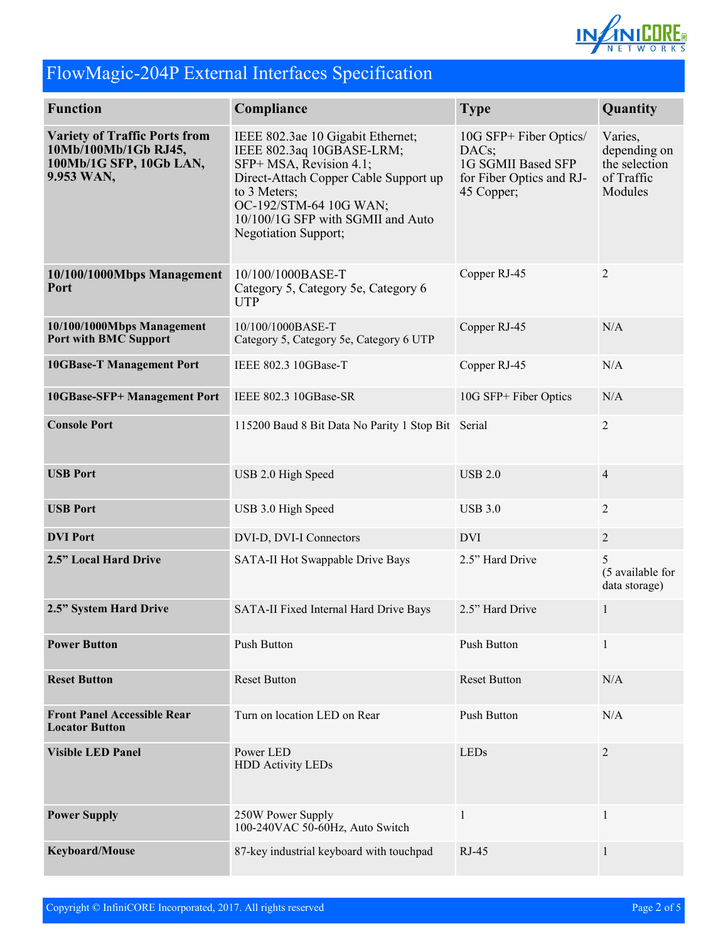

# FlowMagic-204P External Interfaces Specification

| <b>Function</b>                                                                                       | Compliance<br><b>Type</b>                                                                                                                                                                                                                        |                                                                                                 | Quantity                          |
|-------------------------------------------------------------------------------------------------------|--------------------------------------------------------------------------------------------------------------------------------------------------------------------------------------------------------------------------------------------------|-------------------------------------------------------------------------------------------------|-----------------------------------|
| <b>Variety of Traffic Ports from</b><br>10Mb/100Mb/1Gb RJ45,<br>100Mb/1G SFP, 10Gb LAN,<br>9.953 WAN, | IEEE 802.3ae 10 Gigabit Ethernet;<br>IEEE 802.3aq 10GBASE-LRM;<br>SFP+ MSA, Revision 4.1;<br>Direct-Attach Copper Cable Support up<br>to 3 Meters;<br>OC-192/STM-64 10G WAN;<br>10/100/1G SFP with SGMII and Auto<br><b>Negotiation Support;</b> | 10G SFP+ Fiber Optics/<br>DACs;<br>1G SGMII Based SFP<br>for Fiber Optics and RJ-<br>45 Copper; |                                   |
| 10/100/1000Mbps Management<br>Port                                                                    | Copper RJ-45<br>10/100/1000BASE-T<br>Category 5, Category 5e, Category 6<br><b>UTP</b>                                                                                                                                                           |                                                                                                 | $\overline{2}$                    |
| 10/100/1000Mbps Management<br><b>Port with BMC Support</b>                                            | 10/100/1000BASE-T<br>Category 5, Category 5e, Category 6 UTP                                                                                                                                                                                     | Copper RJ-45                                                                                    | N/A                               |
| <b>10GBase-T Management Port</b>                                                                      | IEEE 802.3 10GBase-T                                                                                                                                                                                                                             | Copper RJ-45                                                                                    | N/A                               |
| 10GBase-SFP+ Management Port                                                                          | IEEE 802.3 10GBase-SR                                                                                                                                                                                                                            | 10G SFP+ Fiber Optics                                                                           | N/A                               |
| <b>Console Port</b>                                                                                   | 115200 Baud 8 Bit Data No Parity 1 Stop Bit Serial                                                                                                                                                                                               |                                                                                                 | $\overline{2}$                    |
| <b>USB Port</b>                                                                                       | USB 2.0 High Speed<br><b>USB 2.0</b>                                                                                                                                                                                                             |                                                                                                 | $\overline{4}$                    |
| <b>USB Port</b>                                                                                       | USB 3.0 High Speed                                                                                                                                                                                                                               | <b>USB 3.0</b>                                                                                  |                                   |
| <b>DVI</b> Port                                                                                       | DVI-D, DVI-I Connectors                                                                                                                                                                                                                          | <b>DVI</b>                                                                                      | $\overline{2}$                    |
| 2.5" Local Hard Drive                                                                                 | SATA-II Hot Swappable Drive Bays                                                                                                                                                                                                                 | 2.5" Hard Drive                                                                                 | (5 available for<br>data storage) |
| 2.5" System Hard Drive                                                                                | SATA-II Fixed Internal Hard Drive Bays                                                                                                                                                                                                           | 2.5" Hard Drive                                                                                 | $\mathbf{1}$                      |
| <b>Power Button</b>                                                                                   | Push Button                                                                                                                                                                                                                                      | Push Button                                                                                     | $\mathbf{1}$                      |
| <b>Reset Button</b>                                                                                   | <b>Reset Button</b>                                                                                                                                                                                                                              | <b>Reset Button</b>                                                                             | N/A                               |
| <b>Front Panel Accessible Rear</b><br><b>Locator Button</b>                                           | Turn on location LED on Rear                                                                                                                                                                                                                     | Push Button                                                                                     | N/A                               |
| <b>Visible LED Panel</b>                                                                              | Power LED<br><b>LEDs</b><br><b>HDD Activity LEDs</b>                                                                                                                                                                                             |                                                                                                 | $\overline{2}$                    |
| <b>Power Supply</b>                                                                                   | 250W Power Supply<br>$\mathbf{1}$<br>100-240VAC 50-60Hz, Auto Switch                                                                                                                                                                             |                                                                                                 | $\mathbf{1}$                      |
| Keyboard/Mouse                                                                                        | 87-key industrial keyboard with touchpad                                                                                                                                                                                                         | RJ-45                                                                                           | $\mathbf{1}$                      |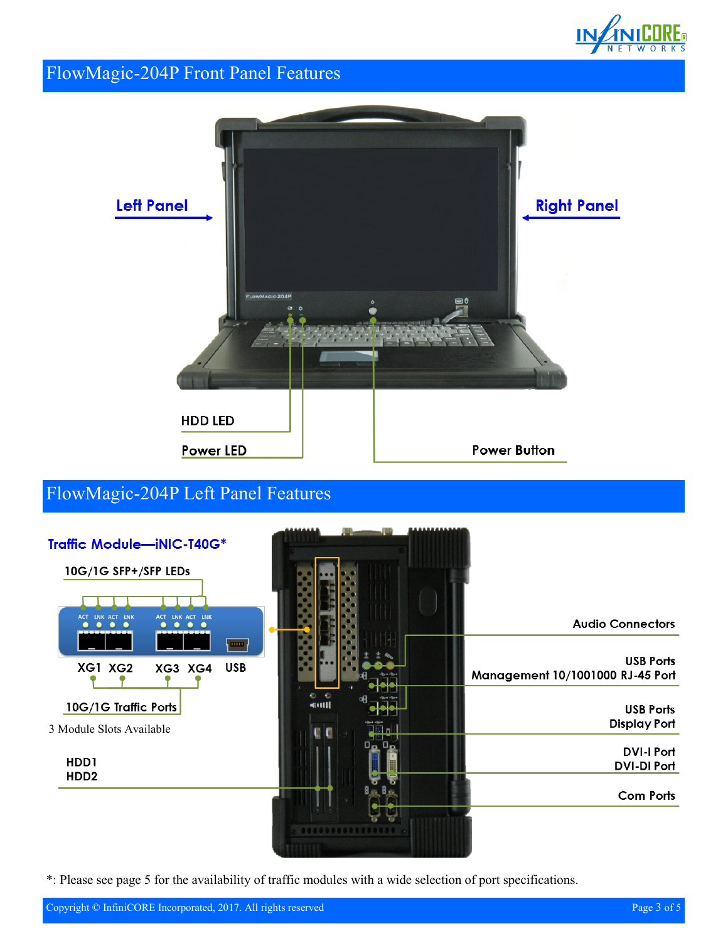

#### FlowMagic-204P Front Panel Features



### FlowMagic-204P Left Panel Features



\*: Please see page 5 for the availability of traffic modules with a wide selection of port specifications.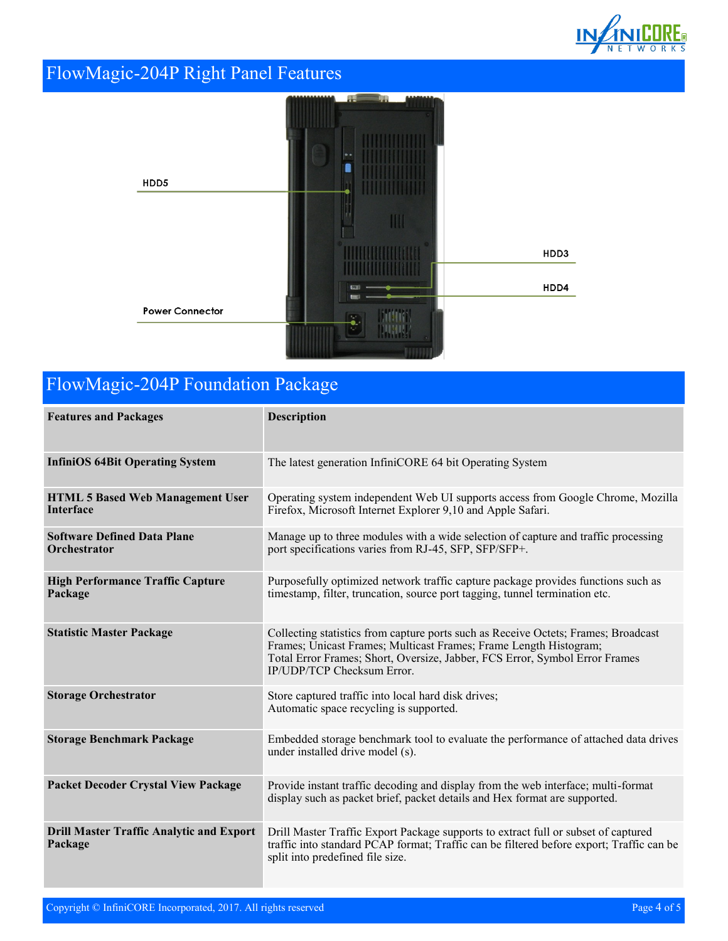

# FlowMagic-204P Right Panel Features



# FlowMagic-204P Foundation Package

| <b>Features and Packages</b>                                | <b>Description</b>                                                                                                                                                                                                                                                          |
|-------------------------------------------------------------|-----------------------------------------------------------------------------------------------------------------------------------------------------------------------------------------------------------------------------------------------------------------------------|
| <b>InfiniOS 64Bit Operating System</b>                      | The latest generation InfiniCORE 64 bit Operating System                                                                                                                                                                                                                    |
| <b>HTML 5 Based Web Management User</b><br><b>Interface</b> | Operating system independent Web UI supports access from Google Chrome, Mozilla<br>Firefox, Microsoft Internet Explorer 9,10 and Apple Safari.                                                                                                                              |
| <b>Software Defined Data Plane</b><br>Orchestrator          | Manage up to three modules with a wide selection of capture and traffic processing<br>port specifications varies from RJ-45, SFP, SFP/SFP+.                                                                                                                                 |
| <b>High Performance Traffic Capture</b><br>Package          | Purposefully optimized network traffic capture package provides functions such as<br>timestamp, filter, truncation, source port tagging, tunnel termination etc.                                                                                                            |
| <b>Statistic Master Package</b>                             | Collecting statistics from capture ports such as Receive Octets; Frames; Broadcast<br>Frames; Unicast Frames; Multicast Frames; Frame Length Histogram;<br>Total Error Frames; Short, Oversize, Jabber, FCS Error, Symbol Error Frames<br><b>IP/UDP/TCP Checksum Error.</b> |
| <b>Storage Orchestrator</b>                                 | Store captured traffic into local hard disk drives;<br>Automatic space recycling is supported.                                                                                                                                                                              |
| <b>Storage Benchmark Package</b>                            | Embedded storage benchmark tool to evaluate the performance of attached data drives<br>under installed drive model (s).                                                                                                                                                     |
| <b>Packet Decoder Crystal View Package</b>                  | Provide instant traffic decoding and display from the web interface; multi-format<br>display such as packet brief, packet details and Hex format are supported.                                                                                                             |
| <b>Drill Master Traffic Analytic and Export</b><br>Package  | Drill Master Traffic Export Package supports to extract full or subset of captured<br>traffic into standard PCAP format; Traffic can be filtered before export; Traffic can be<br>split into predefined file size.                                                          |